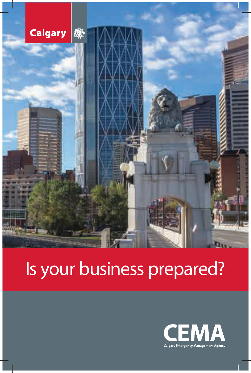

# Is your business prepared?

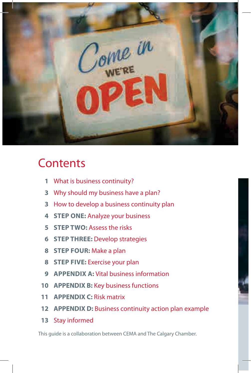

## **Contents**

- What is business continuity?
- Why should my business have a plan?
- How to develop a business continuity plan
- **STEP ONE:** Analyze your business
- **STEP TWO:** Assess the risks
- **STEP THREE:** Develop strategies
- **STEP FOUR:** Make a plan
- **STEP FIVE:** Exercise your plan
- **APPENDIX A:** Vital business information
- **APPENDIX B:** Key business functions
- **APPENDIX C:** Risk matrix
- **APPENDIX D:** Business continuity action plan example
- Stay informed

This guide is a collaboration between CEMA and The Calgary Chamber.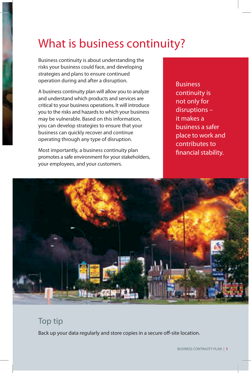## What is business continuity?

Business continuity is about understanding the risks your business could face, and developing strategies and plans to ensure continued operation during and after a disruption.

A business continuity plan will allow you to analyze and understand which products and services are critical to your business operations. It will introduce you to the risks and hazards to which your business may be vulnerable. Based on this information, you can develop strategies to ensure that your business can quickly recover and continue operating through any type of disruption.

Most importantly, a business continuity plan promotes a safe environment for your stakeholders, your employees, and your customers.

Business continuity is not only for disruptions – it makes a business a safer place to work and contributes to financial stability.



### Top tip

Back up your data regularly and store copies in a secure off-site location.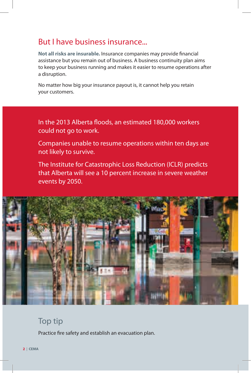### But I have business insurance...

Not all risks are insurable. Insurance companies may provide financial assistance but you remain out of business. A business continuity plan aims to keep your business running and makes it easier to resume operations after a disruption.

No matter how big your insurance payout is, it cannot help you retain your customers.

In the 2013 Alberta floods, an estimated 180,000 workers could not go to work.

Companies unable to resume operations within ten days are not likely to survive.

The Institute for Catastrophic Loss Reduction (ICLR) predicts that Alberta will see a 10 percent increase in severe weather events by 2050.



### Top tip

Practice fire safety and establish an evacuation plan.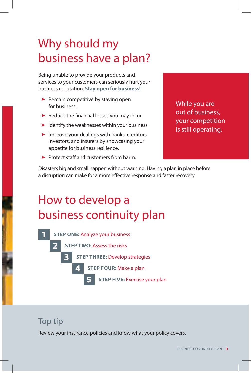## Why should my business have a plan?

Being unable to provide your products and services to your customers can seriously hurt your business reputation. **Stay open for business!**

- ▶ Remain competitive by staying open for business.
- $\blacktriangleright$  Reduce the financial losses you may incur.
- $\blacktriangleright$  Identify the weaknesses within your business.
- ➤ Improve your dealings with banks, creditors, investors, and insurers by showcasing your appetite for business resilience.
- $\blacktriangleright$  Protect staff and customers from harm.

While you are out of business, your competition is still operating.

Disasters big and small happen without warning. Having a plan in place before a disruption can make for a more effective response and faster recovery.

## How to develop a business continuity plan



### Top tip

Review your insurance policies and know what your policy covers.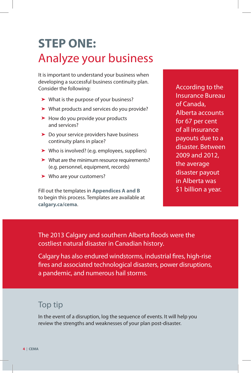## **STEP ONE:**  Analyze your business

It is important to understand your business when developing a successful business continuity plan. Consider the following:

- ➤ What is the purpose of your business?
- ➤ What products and services do you provide?
- ➤ How do you provide your products and services?
- ➤ Do your service providers have business continuity plans in place?
- ➤ Who is involved? (e.g. employees, suppliers)
- ➤ What are the minimum resource requirements? (e.g. personnel, equipment, records)
- ➤ Who are your customers?

Fill out the templates in **Appendices A and B** to begin this process. Templates are available at **calgary.ca/cema**.

According to the Insurance Bureau of Canada, Alberta accounts for 67 per cent of all insurance payouts due to a disaster. Between 2009 and 2012, the average disaster payout in Alberta was \$1 billion a year.

The 2013 Calgary and southern Alberta floods were the costliest natural disaster in Canadian history.

Calgary has also endured windstorms, industrial fires, high-rise fires and associated technological disasters, power disruptions, a pandemic, and numerous hail storms.

### Top tip

In the event of a disruption, log the sequence of events. It will help you review the strengths and weaknesses of your plan post-disaster.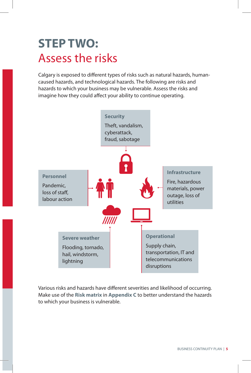## **STEP TWO:**  Assess the risks

Calgary is exposed to different types of risks such as natural hazards, humancaused hazards, and technological hazards. The following are risks and hazards to which your business may be vulnerable. Assess the risks and imagine how they could affect your ability to continue operating.



Various risks and hazards have different severities and likelihood of occurring. Make use of the **Risk matrix** in **Appendix C** to better understand the hazards to which your business is vulnerable.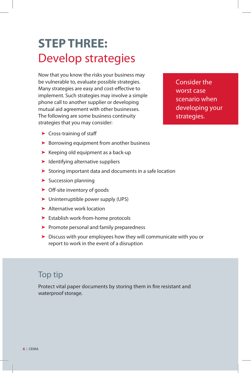## **STEP THREE:**  Develop strategies

Now that you know the risks your business may be vulnerable to, evaluate possible strategies. Many strategies are easy and cost-effective to implement. Such strategies may involve a simple phone call to another supplier or developing mutual aid agreement with other businesses. The following are some business continuity strategies that you may consider:

Consider the worst case scenario when developing your strategies.

- $\blacktriangleright$  Cross-training of staff
- ➤ Borrowing equipment from another business
- ➤ Keeping old equipment as a back-up
- ➤ Identifying alternative suppliers
- ➤ Storing important data and documents in a safe location
- ➤ Succession planning
- $\triangleright$  Off-site inventory of goods
- ➤ Uninterruptible power supply (UPS)
- ➤ Alternative work location
- ➤ Establish work-from-home protocols
- ➤ Promote personal and family preparedness
- ➤ Discuss with your employees how they will communicate with you or report to work in the event of a disruption

### Top tip

Protect vital paper documents by storing them in fire resistant and waterproof storage.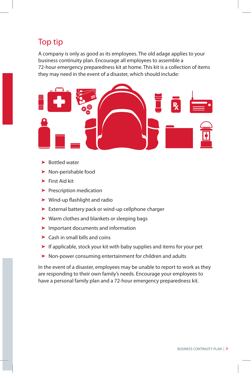### Top tip

A company is only as good as its employees. The old adage applies to your business continuity plan. Encourage all employees to assemble a 72-hour emergency preparedness kit at home. This kit is a collection of items they may need in the event of a disaster, which should include:



- ▶ Bottled water
- ▶ Non-perishable food
- ➤ First Aid kit
- ▶ Prescription medication
- $\blacktriangleright$  Wind-up flashlight and radio
- ➤ External battery pack or wind-up cellphone charger
- ▶ Warm clothes and blankets or sleeping bags
- ➤ Important documents and information
- $\blacktriangleright$  Cash in small bills and coins
- ➤ If applicable, stock your kit with baby supplies and items for your pet
- ➤ Non-power consuming entertainment for children and adults

In the event of a disaster, employees may be unable to report to work as they are responding to their own family's needs. Encourage your employees to have a personal family plan and a 72-hour emergency preparedness kit.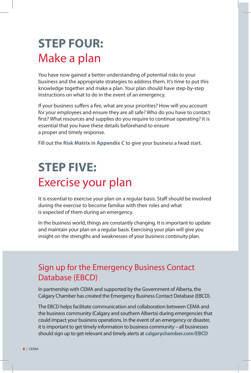## **STEP FOUR:**  Make a plan

You have now gained a better understanding of potential risks to your business and the appropriate strategies to address them. It's time to put this knowledge together and make a plan. Your plan should have step-by-step instructions on what to do in the event of an emergency.

If your business suffers a fire, what are your priorities? How will you account for your employees and ensure they are all safe? Who do you have to contact first? What resources and supplies do you require to continue operating? It is essential that you have these details beforehand to ensure a proper and timely response.

Fill out the **Risk Matrix** in **Appendix C** to give your business a head start.

## **STEP FIVE:**  Exercise your plan

It is essential to exercise your plan on a regular basis. Staff should be involved during the exercise to become familiar with their roles and what is expected of them during an emergency.

In the business world, things are constantly changing. It is important to update and maintain your plan on a regular basis. Exercising your plan will give you insight on the strengths and weaknesses of your business continuity plan.

### Sign up for the Emergency Business Contact Database (EBCD)

In partnership with CEMA and supported by the Government of Alberta, the Calgary Chamber has created the Emergency Business Contact Database (EBCD).

The EBCD helps facilitate communication and collaboration between CEMA and the business community (Calgary and southern Alberta) during emergencies that could impact your business operations. In the event of an emergency or disaster, it is important to get timely information to business community – all businesses should sign up to get relevant and timely alerts at **calgarychamber.com/EBCD**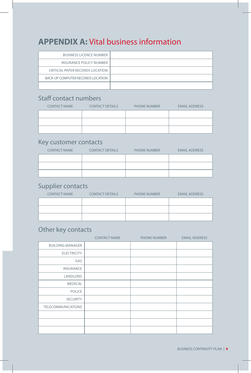### **APPENDIX A:** Vital business information

| <b>BUSINESS LICENCE NUMBER</b>    |  |
|-----------------------------------|--|
| INSURANCE POLICY NUMBER           |  |
| CRITICAL PAPER RECORDS LOCATION   |  |
| BACK-UP COMPUTER RECORDS LOCATION |  |
|                                   |  |

#### Staff contact numbers

| <b>CONTACT NAME</b> | <b>CONTACT DETAILS</b> | <b>PHONE NUMBER</b> | <b>EMAIL ADDRESS</b> |
|---------------------|------------------------|---------------------|----------------------|
|                     |                        |                     |                      |
|                     |                        |                     |                      |
|                     |                        |                     |                      |

#### Key customer contacts

| <b>CONTACT NAME</b> | <b>CONTACT DETAILS</b> | <b>PHONE NUMBER</b> | <b>EMAIL ADDRESS</b> |
|---------------------|------------------------|---------------------|----------------------|
|                     |                        |                     |                      |
|                     |                        |                     |                      |
|                     |                        |                     |                      |

#### Supplier contacts

| <b>CONTACT NAME</b> | <b>CONTACT DETAILS</b> | <b>PHONE NUMBER</b> | <b>EMAIL ADDRESS</b> |
|---------------------|------------------------|---------------------|----------------------|
|                     |                        |                     |                      |
|                     |                        |                     |                      |
|                     |                        |                     |                      |

### Other key contacts

|                           | <b>CONTACT NAME</b> | <b>PHONE NUMBER</b> | <b>EMAIL ADDRESS</b> |
|---------------------------|---------------------|---------------------|----------------------|
| <b>BUILDING MANAGER</b>   |                     |                     |                      |
| <b>ELECTRICITY</b>        |                     |                     |                      |
| GAS                       |                     |                     |                      |
| <b>INSURANCE</b>          |                     |                     |                      |
| LANDLORD                  |                     |                     |                      |
| <b>MEDICAL</b>            |                     |                     |                      |
| POLICE                    |                     |                     |                      |
| <b>SECURITY</b>           |                     |                     |                      |
| <b>TELECOMMUNICATIONS</b> |                     |                     |                      |
|                           |                     |                     |                      |
|                           |                     |                     |                      |
|                           |                     |                     |                      |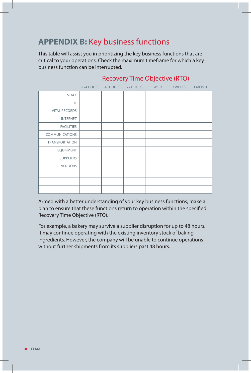### **APPENDIX B:** Key business functions

This table will assist you in prioritizing the key business functions that are critical to your operations. Check the maximum timeframe for which a key business function can be interrupted.

|                       | $<$ 24 HOURS | 48 HOURS | 72 HOURS | 1 WEEK | 2 WEEKS | 1 MONTH |
|-----------------------|--------------|----------|----------|--------|---------|---------|
| <b>STAFF</b>          |              |          |          |        |         |         |
| IT                    |              |          |          |        |         |         |
| <b>VITAL RECORDS</b>  |              |          |          |        |         |         |
| <b>INTERNET</b>       |              |          |          |        |         |         |
| <b>FACILITIES</b>     |              |          |          |        |         |         |
| <b>COMMUNICATIONS</b> |              |          |          |        |         |         |
| <b>TRANSPORTATION</b> |              |          |          |        |         |         |
| <b>EQUIPMENT</b>      |              |          |          |        |         |         |
| <b>SUPPLIERS</b>      |              |          |          |        |         |         |
| <b>VENDORS</b>        |              |          |          |        |         |         |
|                       |              |          |          |        |         |         |
|                       |              |          |          |        |         |         |
|                       |              |          |          |        |         |         |

#### Recovery Time Objective (RTO)

Armed with a better understanding of your key business functions, make a plan to ensure that these functions return to operation within the specified Recovery Time Objective (RTO).

For example, a bakery may survive a supplier disruption for up to 48 hours. It may continue operating with the existing inventory stock of baking ingredients. However, the company will be unable to continue operations without further shipments from its suppliers past 48 hours.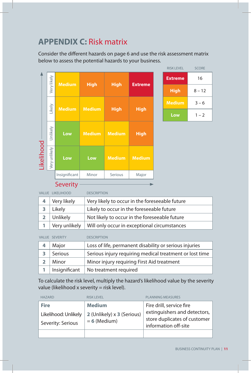### **APPENDIX C:** Risk matrix

Consider the different hazards on page 6 and use the risk assessment matrix below to assess the potential hazards to your business.

|            |               |               |               |               |                | <b>RISK LEVEL</b> | <b>SCORE</b> |
|------------|---------------|---------------|---------------|---------------|----------------|-------------------|--------------|
|            | Very likely   | <b>Medium</b> | <b>High</b>   | <b>High</b>   | <b>Extreme</b> | <b>Extreme</b>    | 16           |
|            |               |               |               |               |                | <b>High</b>       | $8 - 12$     |
|            | Likely        |               |               |               |                | <b>Medium</b>     | $3 - 6$      |
|            |               | <b>Medium</b> | <b>Medium</b> | <b>High</b>   | <b>High</b>    | Low               | $1 - 2$      |
|            | Unlikely      | Low           | <b>Medium</b> | <b>Medium</b> | <b>High</b>    |                   |              |
| Likelihood | Very unlikely | Low           | Low           | <b>Medium</b> | <b>Medium</b>  |                   |              |
|            |               | Insignificant | Minor         | Serious       | Major          |                   |              |

Severity

VALUE LIKELIHOOD DESCRIPTION

| 4 | Very likely | Very likely to occur in the foreseeable future               |
|---|-------------|--------------------------------------------------------------|
|   | Likely      | Likely to occur in the foreseeable future                    |
|   | Unlikely    | Not likely to occur in the foreseeable future                |
|   |             | Very unlikely   Will only occur in exceptional circumstances |

VALUE SEVERITY DESCRIPTION

|   | Major         | Loss of life, permanent disability or serious injuries  |
|---|---------------|---------------------------------------------------------|
| 3 | Serious       | Serious injury requiring medical treatment or lost time |
|   | Minor         | Minor injury requiring First Aid treatment              |
|   | Insignificant | No treatment required                                   |

To calculate the risk level, multiply the hazard's likelihood value by the severity value (likelihood x severity = risk level).

| <b>HAZARD</b>                                            | RISK I FVFI                                                   | <b>PLANNING MEASURES</b>                                                                                         |
|----------------------------------------------------------|---------------------------------------------------------------|------------------------------------------------------------------------------------------------------------------|
| <b>Fire</b><br>Likelihood: Unlikely<br>Severity: Serious | <b>Medium</b><br>2 (Unlikely) x 3 (Serious)<br>$= 6$ (Medium) | Fire drill, service fire<br>extinguishers and detectors,<br>store duplicates of customer<br>information off-site |
|                                                          |                                                               |                                                                                                                  |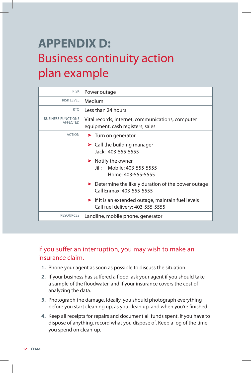## **APPENDIX D:**  Business continuity action plan example

| <b>RISK</b>                           | Power outage                                                                                                |  |
|---------------------------------------|-------------------------------------------------------------------------------------------------------------|--|
| <b>RISK LEVEL</b>                     | Medium                                                                                                      |  |
| <b>RTO</b>                            | Less than 24 hours                                                                                          |  |
| <b>BUSINESS FUNCTIONS</b><br>AFFECTED | Vital records, internet, communications, computer<br>equipment, cash registers, sales                       |  |
| <b>ACTION</b>                         | $\blacktriangleright$ Turn on generator                                                                     |  |
|                                       | $\blacktriangleright$ Call the building manager<br>Jack: 403-555-5555                                       |  |
|                                       | $\blacktriangleright$ Notify the owner<br>Mobile: 403-555-5555<br>Jill∙ ∶<br>Home: 403-555-5555             |  |
|                                       | Determine the likely duration of the power outage<br>Call Fnmax: 403-555-5555                               |  |
|                                       | $\blacktriangleright$ If it is an extended outage, maintain fuel levels<br>Call fuel delivery: 403-555-5555 |  |
| <b>RESOURCES</b>                      | Landline, mobile phone, generator                                                                           |  |

#### If you suffer an interruption, you may wish to make an insurance claim.

- **1.** Phone your agent as soon as possible to discuss the situation.
- 2. If your business has suffered a flood, ask your agent if you should take a sample of the floodwater, and if your insurance covers the cost of analyzing the data.
- **3.** Photograph the damage. Ideally, you should photograph everything before you start cleaning up, as you clean up, and when you're finished.
- **4.** Keep all receipts for repairs and document all funds spent. If you have to dispose of anything, record what you dispose of. Keep a log of the time you spend on clean-up.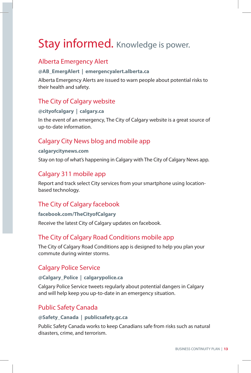## Stay informed. Knowledge is power.

#### Alberta Emergency Alert

#### **@AB\_EmergAlert | emergencyalert.alberta.ca**

Alberta Emergency Alerts are issued to warn people about potential risks to their health and safety.

#### The City of Calgary website

#### **@cityofcalgary | calgary.ca**

In the event of an emergency, The City of Calgary website is a great source of up-to-date information.

#### Calgary City News blog and mobile app

#### **calgarycitynews.com**

Stay on top of what's happening in Calgary with The City of Calgary News app.

#### Calgary 311 mobile app

Report and track select City services from your smartphone using locationbased technology.

#### The City of Calgary facebook

#### **facebook.com/TheCityofCalgary**

Receive the latest City of Calgary updates on facebook.

#### The City of Calgary Road Conditions mobile app

The City of Calgary Road Conditions app is designed to help you plan your commute during winter storms.

#### Calgary Police Service

#### **@Calgary\_Police | calgarypolice.ca**

Calgary Police Service tweets regularly about potential dangers in Calgary and will help keep you up-to-date in an emergency situation.

#### Public Safety Canada

#### **@Safety\_Canada | publicsafety.gc.ca**

Public Safety Canada works to keep Canadians safe from risks such as natural disasters, crime, and terrorism.